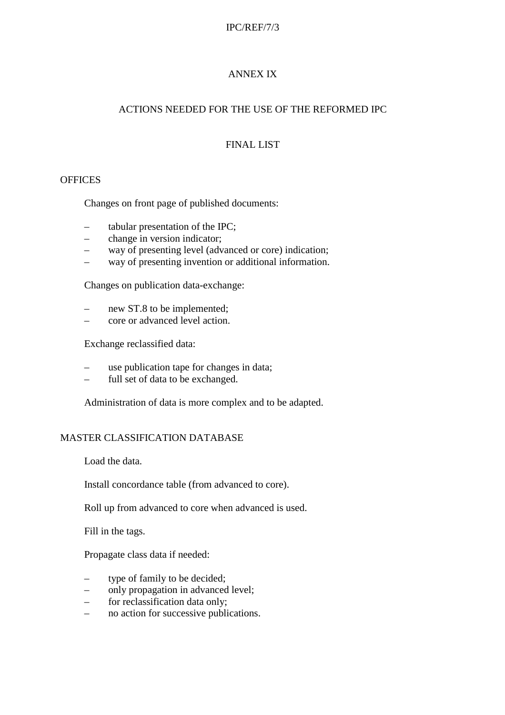#### IPC/REF/7/3

### ANNEX IX

### ACTIONS NEEDED FOR THE USE OF THE REFORMED IPC

# FINAL LIST

### **OFFICES**

Changes on front page of published documents:

- tabular presentation of the IPC;
- change in version indicator;
- way of presenting level (advanced or core) indication;
- way of presenting invention or additional information.

Changes on publication data-exchange:

- new ST.8 to be implemented;
- core or advanced level action.

Exchange reclassified data:

- use publication tape for changes in data;
- full set of data to be exchanged.

Administration of data is more complex and to be adapted.

#### MASTER CLASSIFICATION DATABASE

Load the data.

Install concordance table (from advanced to core).

Roll up from advanced to core when advanced is used.

Fill in the tags.

Propagate class data if needed:

- type of family to be decided;
- only propagation in advanced level;
- for reclassification data only;
- no action for successive publications.